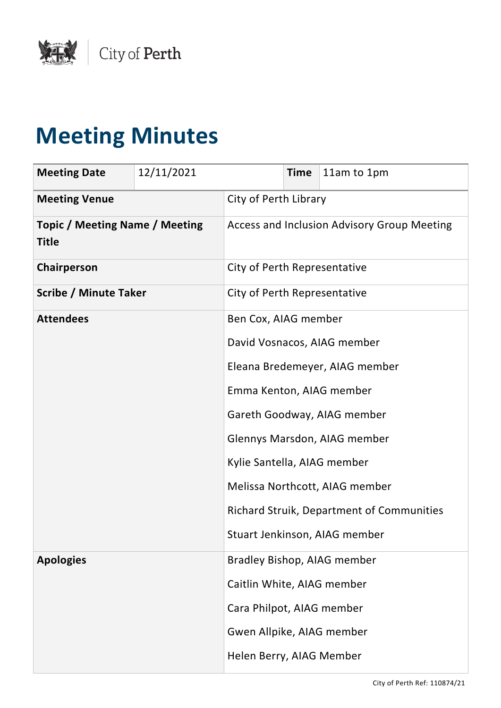

# **Meeting Minutes**

| <b>Meeting Date</b>                                   | 12/11/2021                  |                              | <b>Time</b> | 11am to 1pm                                      |
|-------------------------------------------------------|-----------------------------|------------------------------|-------------|--------------------------------------------------|
| <b>Meeting Venue</b>                                  |                             | City of Perth Library        |             |                                                  |
| <b>Topic / Meeting Name / Meeting</b><br><b>Title</b> |                             |                              |             | Access and Inclusion Advisory Group Meeting      |
| Chairperson                                           |                             | City of Perth Representative |             |                                                  |
| <b>Scribe / Minute Taker</b>                          |                             | City of Perth Representative |             |                                                  |
| <b>Attendees</b>                                      |                             | Ben Cox, AIAG member         |             |                                                  |
|                                                       |                             |                              |             | David Vosnacos, AIAG member                      |
|                                                       |                             |                              |             | Eleana Bredemeyer, AIAG member                   |
|                                                       |                             | Emma Kenton, AIAG member     |             |                                                  |
|                                                       |                             |                              |             | Gareth Goodway, AIAG member                      |
|                                                       |                             | Glennys Marsdon, AIAG member |             |                                                  |
|                                                       | Kylie Santella, AIAG member |                              |             |                                                  |
|                                                       |                             |                              |             | Melissa Northcott, AIAG member                   |
|                                                       |                             |                              |             | <b>Richard Struik, Department of Communities</b> |
|                                                       |                             |                              |             | Stuart Jenkinson, AIAG member                    |
| <b>Apologies</b>                                      |                             |                              |             | Bradley Bishop, AIAG member                      |
|                                                       |                             | Caitlin White, AIAG member   |             |                                                  |
|                                                       |                             | Cara Philpot, AIAG member    |             |                                                  |
|                                                       |                             | Gwen Allpike, AIAG member    |             |                                                  |
|                                                       |                             | Helen Berry, AIAG Member     |             |                                                  |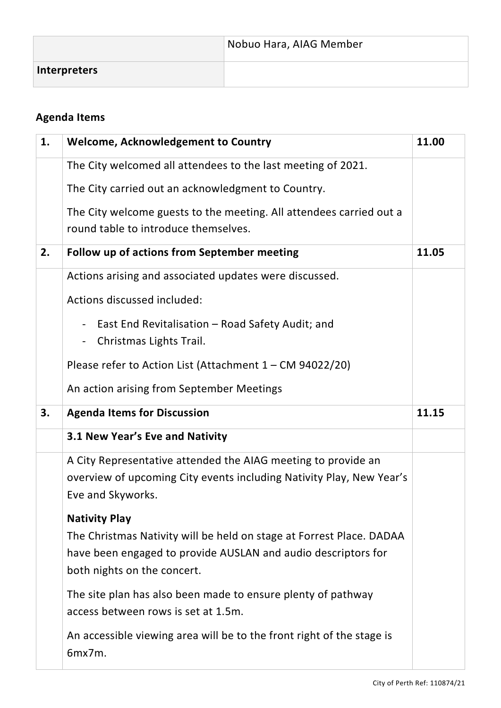|              | Nobuo Hara, AIAG Member |
|--------------|-------------------------|
| Interpreters |                         |

# **Agenda Items**

| 1. | Welcome, Acknowledgement to Country                                                                         | 11.00 |
|----|-------------------------------------------------------------------------------------------------------------|-------|
|    | The City welcomed all attendees to the last meeting of 2021.                                                |       |
|    | The City carried out an acknowledgment to Country.                                                          |       |
|    | The City welcome guests to the meeting. All attendees carried out a<br>round table to introduce themselves. |       |
| 2. | Follow up of actions from September meeting                                                                 | 11.05 |
|    | Actions arising and associated updates were discussed.                                                      |       |
|    | Actions discussed included:                                                                                 |       |
|    | East End Revitalisation - Road Safety Audit; and<br>$\blacksquare$<br>Christmas Lights Trail.<br>-          |       |
|    | Please refer to Action List (Attachment 1 - CM 94022/20)                                                    |       |
|    | An action arising from September Meetings                                                                   |       |
| 3. | <b>Agenda Items for Discussion</b>                                                                          | 11.15 |
|    | 3.1 New Year's Eve and Nativity                                                                             |       |
|    | A City Representative attended the AIAG meeting to provide an                                               |       |
|    | overview of upcoming City events including Nativity Play, New Year's<br>Eve and Skyworks.                   |       |
|    | <b>Nativity Play</b>                                                                                        |       |
|    | The Christmas Nativity will be held on stage at Forrest Place. DADAA                                        |       |
|    | have been engaged to provide AUSLAN and audio descriptors for                                               |       |
|    |                                                                                                             |       |
|    | both nights on the concert.                                                                                 |       |
|    | The site plan has also been made to ensure plenty of pathway<br>access between rows is set at 1.5m.         |       |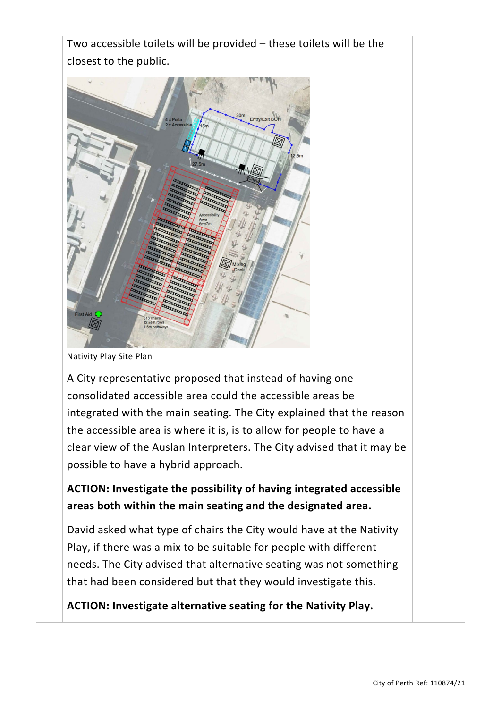

Nativity Play Site Plan

A City representative proposed that instead of having one consolidated accessible area could the accessible areas be integrated with the main seating. The City explained that the reason the accessible area is where it is, is to allow for people to have a clear view of the Auslan Interpreters. The City advised that it may be possible to have a hybrid approach.

## **ACTION: Investigate the possibility of having integrated accessible areas both within the main seating and the designated area.**

David asked what type of chairs the City would have at the Nativity Play, if there was a mix to be suitable for people with different needs. The City advised that alternative seating was not something that had been considered but that they would investigate this.

**ACTION: Investigate alternative seating for the Nativity Play.**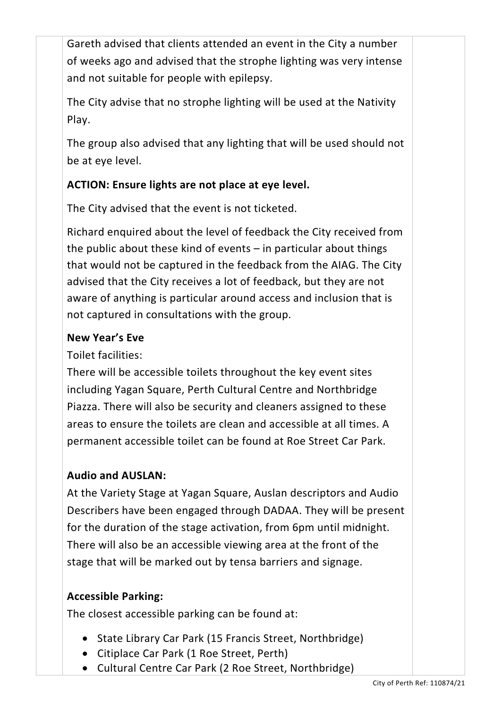Gareth advised that clients attended an event in the City a number of weeks ago and advised that the strophe lighting was very intense and not suitable for people with epilepsy.

The City advise that no strophe lighting will be used at the Nativity Play.

The group also advised that any lighting that will be used should not be at eye level.

## **ACTION: Ensure lights are not place at eye level.**

The City advised that the event is not ticketed.

Richard enquired about the level of feedback the City received from the public about these kind of events – in particular about things that would not be captured in the feedback from the AIAG. The City advised that the City receives a lot of feedback, but they are not aware of anything is particular around access and inclusion that is not captured in consultations with the group.

## **New Year's Eve**

Toilet facilities:

There will be accessible toilets throughout the key event sites including Yagan Square, Perth Cultural Centre and Northbridge Piazza. There will also be security and cleaners assigned to these areas to ensure the toilets are clean and accessible at all times. A permanent accessible toilet can be found at Roe Street Car Park.

## **Audio and AUSLAN:**

At the Variety Stage at Yagan Square, Auslan descriptors and Audio Describers have been engaged through DADAA. They will be present for the duration of the stage activation, from 6pm until midnight. There will also be an accessible viewing area at the front of the stage that will be marked out by tensa barriers and signage.

## **Accessible Parking:**

The closest accessible parking can be found at:

- State Library Car Park (15 Francis Street, Northbridge)
- Citiplace Car Park (1 Roe Street, Perth)
- Cultural Centre Car Park (2 Roe Street, Northbridge)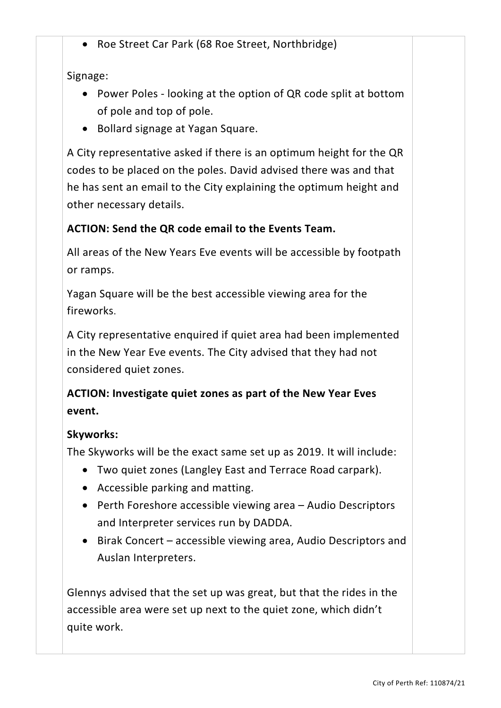• Roe Street Car Park (68 Roe Street, Northbridge)

Signage:

- Power Poles looking at the option of QR code split at bottom of pole and top of pole.
- Bollard signage at Yagan Square.

A City representative asked if there is an optimum height for the QR codes to be placed on the poles. David advised there was and that he has sent an email to the City explaining the optimum height and other necessary details.

## **ACTION: Send the QR code email to the Events Team.**

All areas of the New Years Eve events will be accessible by footpath or ramps.

Yagan Square will be the best accessible viewing area for the fireworks.

A City representative enquired if quiet area had been implemented in the New Year Eve events. The City advised that they had not considered quiet zones.

**ACTION: Investigate quiet zones as part of the New Year Eves event.**

#### **Skyworks:**

The Skyworks will be the exact same set up as 2019. It will include:

- Two quiet zones (Langley East and Terrace Road carpark).
- Accessible parking and matting.
- Perth Foreshore accessible viewing area Audio Descriptors and Interpreter services run by DADDA.
- Birak Concert accessible viewing area, Audio Descriptors and Auslan Interpreters.

Glennys advised that the set up was great, but that the rides in the accessible area were set up next to the quiet zone, which didn't quite work.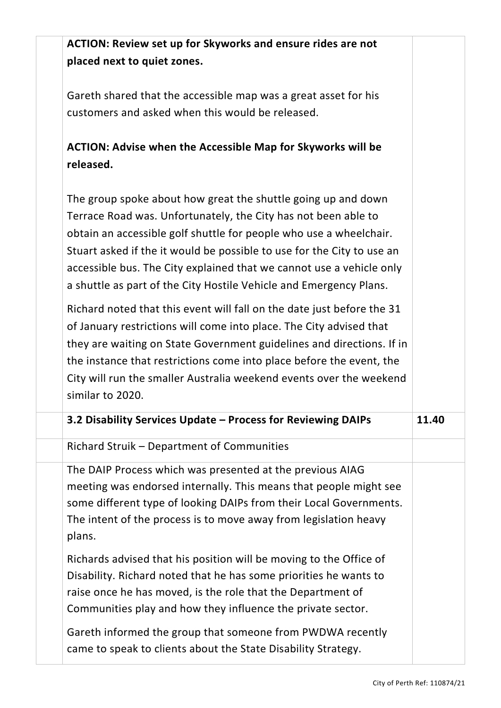**ACTION: Review set up for Skyworks and ensure rides are not placed next to quiet zones.** 

Gareth shared that the accessible map was a great asset for his customers and asked when this would be released.

**ACTION: Advise when the Accessible Map for Skyworks will be released.** 

The group spoke about how great the shuttle going up and down Terrace Road was. Unfortunately, the City has not been able to obtain an accessible golf shuttle for people who use a wheelchair. Stuart asked if the it would be possible to use for the City to use an accessible bus. The City explained that we cannot use a vehicle only a shuttle as part of the City Hostile Vehicle and Emergency Plans.

Richard noted that this event will fall on the date just before the 31 of January restrictions will come into place. The City advised that they are waiting on State Government guidelines and directions. If in the instance that restrictions come into place before the event, the City will run the smaller Australia weekend events over the weekend similar to 2020.

| 3.2 Disability Services Update - Process for Reviewing DAIPs                                                                                                                                                                                                                                                                                                                                         | 11.40 |
|------------------------------------------------------------------------------------------------------------------------------------------------------------------------------------------------------------------------------------------------------------------------------------------------------------------------------------------------------------------------------------------------------|-------|
| Richard Struik - Department of Communities                                                                                                                                                                                                                                                                                                                                                           |       |
| The DAIP Process which was presented at the previous AIAG<br>meeting was endorsed internally. This means that people might see<br>some different type of looking DAIPs from their Local Governments.<br>The intent of the process is to move away from legislation heavy<br>plans.                                                                                                                   |       |
| Richards advised that his position will be moving to the Office of<br>Disability. Richard noted that he has some priorities he wants to<br>raise once he has moved, is the role that the Department of<br>Communities play and how they influence the private sector.<br>Gareth informed the group that someone from PWDWA recently<br>came to speak to clients about the State Disability Strategy. |       |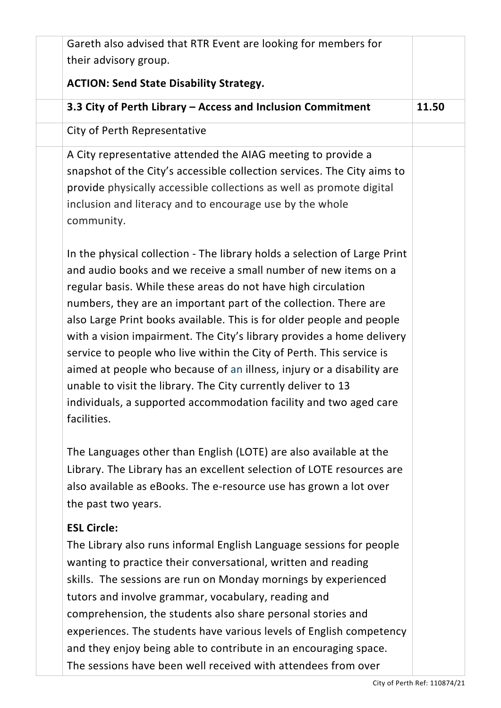| Gareth also advised that RTR Event are looking for members for                                                                                                                                                                                                                                                                                                                                                                                                                                                                                                                                                                                                                                                                            |       |
|-------------------------------------------------------------------------------------------------------------------------------------------------------------------------------------------------------------------------------------------------------------------------------------------------------------------------------------------------------------------------------------------------------------------------------------------------------------------------------------------------------------------------------------------------------------------------------------------------------------------------------------------------------------------------------------------------------------------------------------------|-------|
| their advisory group.                                                                                                                                                                                                                                                                                                                                                                                                                                                                                                                                                                                                                                                                                                                     |       |
| <b>ACTION: Send State Disability Strategy.</b>                                                                                                                                                                                                                                                                                                                                                                                                                                                                                                                                                                                                                                                                                            |       |
| 3.3 City of Perth Library - Access and Inclusion Commitment                                                                                                                                                                                                                                                                                                                                                                                                                                                                                                                                                                                                                                                                               | 11.50 |
| City of Perth Representative                                                                                                                                                                                                                                                                                                                                                                                                                                                                                                                                                                                                                                                                                                              |       |
| A City representative attended the AIAG meeting to provide a<br>snapshot of the City's accessible collection services. The City aims to<br>provide physically accessible collections as well as promote digital<br>inclusion and literacy and to encourage use by the whole<br>community.                                                                                                                                                                                                                                                                                                                                                                                                                                                 |       |
| In the physical collection - The library holds a selection of Large Print<br>and audio books and we receive a small number of new items on a<br>regular basis. While these areas do not have high circulation<br>numbers, they are an important part of the collection. There are<br>also Large Print books available. This is for older people and people<br>with a vision impairment. The City's library provides a home delivery<br>service to people who live within the City of Perth. This service is<br>aimed at people who because of an illness, injury or a disability are<br>unable to visit the library. The City currently deliver to 13<br>individuals, a supported accommodation facility and two aged care<br>facilities. |       |
| The Languages other than English (LOTE) are also available at the<br>Library. The Library has an excellent selection of LOTE resources are<br>also available as eBooks. The e-resource use has grown a lot over<br>the past two years.                                                                                                                                                                                                                                                                                                                                                                                                                                                                                                    |       |
| <b>ESL Circle:</b><br>The Library also runs informal English Language sessions for people<br>wanting to practice their conversational, written and reading<br>skills. The sessions are run on Monday mornings by experienced<br>tutors and involve grammar, vocabulary, reading and<br>comprehension, the students also share personal stories and<br>experiences. The students have various levels of English competency<br>and they enjoy being able to contribute in an encouraging space.<br>The sessions have been well received with attendees from over                                                                                                                                                                            |       |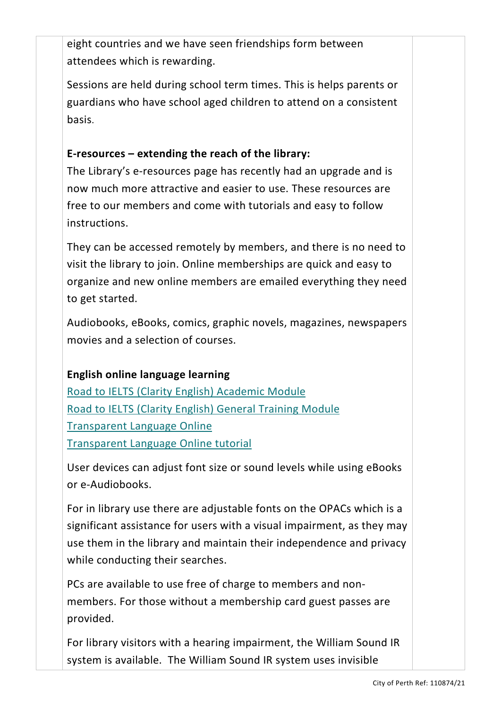eight countries and we have seen friendships form between attendees which is rewarding.

Sessions are held during school term times. This is helps parents or guardians who have school aged children to attend on a consistent basis.

#### **E-resources – extending the reach of the library:**

The Library's e-resources page has recently had an upgrade and is now much more attractive and easier to use. These resources are free to our members and come with tutorials and easy to follow instructions.

They can be accessed remotely by members, and there is no need to visit the library to join. Online memberships are quick and easy to organize and new online members are emailed everything they need to get started.

Audiobooks, eBooks, comics, graphic novels, magazines, newspapers movies and a selection of courses.

#### **English online language learning**

Road to IELTS (Clarity English) [Academic](https://www.clarityenglish.com/library/COP/index.php?pc=72) Module Road to IELTS (Clarity English) General [Training](https://www.clarityenglish.com/library/COP/index.php?pc=73) Module [Transparent](http://library.transparent.com/cityofperth/game/modern/login) Language Online [Transparent](https://my.nicheacademy.com/city-perth-library/course/1240) Language Online tutorial

User devices can adjust font size or sound levels while using eBooks or e-Audiobooks.

For in library use there are adjustable fonts on the OPACs which is a significant assistance for users with a visual impairment, as they may use them in the library and maintain their independence and privacy while conducting their searches.

PCs are available to use free of charge to members and nonmembers. For those without a membership card guest passes are provided.

For library visitors with a hearing impairment, the William Sound IR system is available. The William Sound IR system uses invisible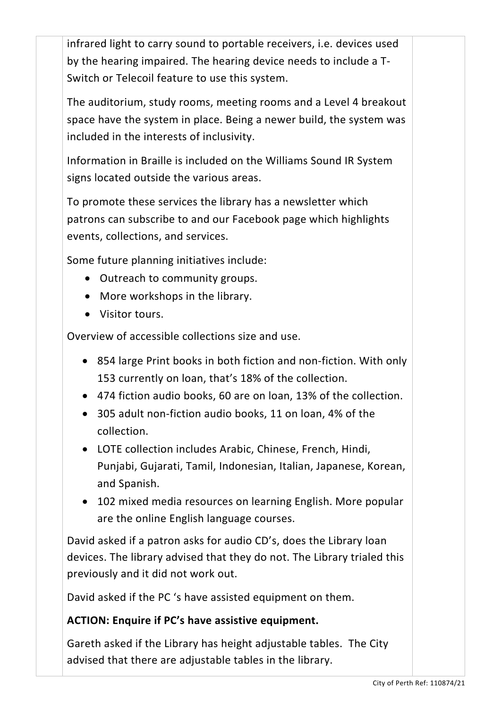infrared light to carry sound to portable receivers, i.e. devices used by the hearing impaired. The hearing device needs to include a T-Switch or Telecoil feature to use this system.

The auditorium, study rooms, meeting rooms and a Level 4 breakout space have the system in place. Being a newer build, the system was included in the interests of inclusivity.

Information in Braille is included on the Williams Sound IR System signs located outside the various areas.

To promote these services the library has a newsletter which patrons can subscribe to and our Facebook page which highlights events, collections, and services.

Some future planning initiatives include:

- Outreach to community groups.
- More workshops in the library.
- Visitor tours.

Overview of accessible collections size and use.

- 854 large Print books in both fiction and non-fiction. With only 153 currently on loan, that's 18% of the collection.
- 474 fiction audio books, 60 are on loan, 13% of the collection.
- 305 adult non-fiction audio books, 11 on loan, 4% of the collection.
- LOTE collection includes Arabic, Chinese, French, Hindi, Punjabi, Gujarati, Tamil, Indonesian, Italian, Japanese, Korean, and Spanish.
- 102 mixed media resources on learning English. More popular are the online English language courses.

David asked if a patron asks for audio CD's, does the Library loan devices. The library advised that they do not. The Library trialed this previously and it did not work out.

David asked if the PC 's have assisted equipment on them.

#### **ACTION: Enquire if PC's have assistive equipment.**

Gareth asked if the Library has height adjustable tables. The City advised that there are adjustable tables in the library.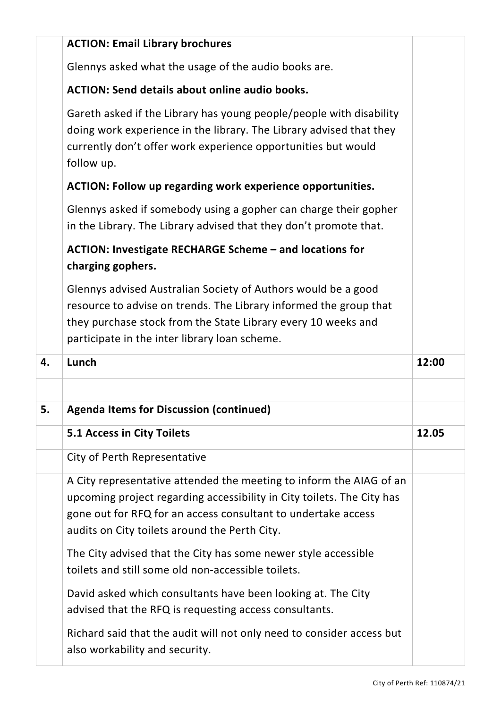|    | <b>ACTION: Email Library brochures</b>                                                                                                                                                                                                                          |       |
|----|-----------------------------------------------------------------------------------------------------------------------------------------------------------------------------------------------------------------------------------------------------------------|-------|
|    | Glennys asked what the usage of the audio books are.                                                                                                                                                                                                            |       |
|    | <b>ACTION: Send details about online audio books.</b>                                                                                                                                                                                                           |       |
|    | Gareth asked if the Library has young people/people with disability<br>doing work experience in the library. The Library advised that they<br>currently don't offer work experience opportunities but would<br>follow up.                                       |       |
|    | <b>ACTION: Follow up regarding work experience opportunities.</b>                                                                                                                                                                                               |       |
|    | Glennys asked if somebody using a gopher can charge their gopher<br>in the Library. The Library advised that they don't promote that.                                                                                                                           |       |
|    | <b>ACTION: Investigate RECHARGE Scheme - and locations for</b><br>charging gophers.                                                                                                                                                                             |       |
|    | Glennys advised Australian Society of Authors would be a good<br>resource to advise on trends. The Library informed the group that<br>they purchase stock from the State Library every 10 weeks and<br>participate in the inter library loan scheme.            |       |
|    |                                                                                                                                                                                                                                                                 |       |
| 4. | Lunch                                                                                                                                                                                                                                                           | 12:00 |
|    |                                                                                                                                                                                                                                                                 |       |
| 5. | <b>Agenda Items for Discussion (continued)</b>                                                                                                                                                                                                                  |       |
|    | 5.1 Access in City Toilets                                                                                                                                                                                                                                      | 12.05 |
|    | City of Perth Representative                                                                                                                                                                                                                                    |       |
|    | A City representative attended the meeting to inform the AIAG of an<br>upcoming project regarding accessibility in City toilets. The City has<br>gone out for RFQ for an access consultant to undertake access<br>audits on City toilets around the Perth City. |       |
|    | The City advised that the City has some newer style accessible<br>toilets and still some old non-accessible toilets.                                                                                                                                            |       |
|    | David asked which consultants have been looking at. The City<br>advised that the RFQ is requesting access consultants.                                                                                                                                          |       |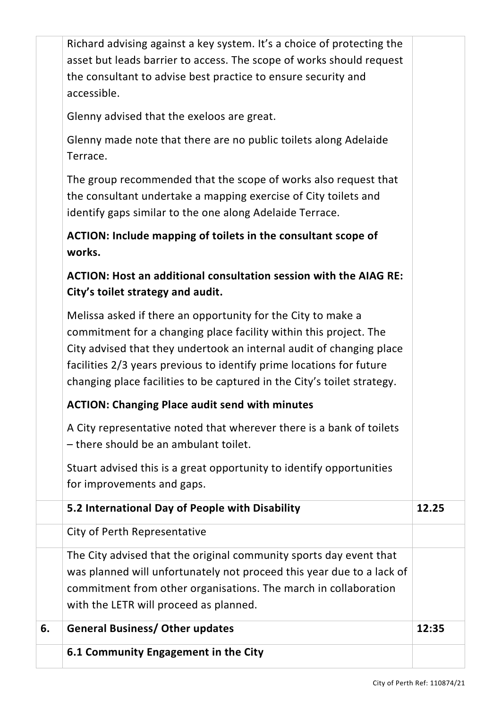| A City representative noted that wherever there is a bank of toilets<br>- there should be an ambulant toilet.<br>Stuart advised this is a great opportunity to identify opportunities<br>for improvements and gaps.<br>5.2 International Day of People with Disability<br>City of Perth Representative<br>The City advised that the original community sports day event that<br>was planned will unfortunately not proceed this year due to a lack of<br>commitment from other organisations. The march in collaboration<br>with the LETR will proceed as planned.<br><b>General Business/ Other updates</b><br>6.1 Community Engagement in the City | 12.25<br>12:35                                                         |
|------------------------------------------------------------------------------------------------------------------------------------------------------------------------------------------------------------------------------------------------------------------------------------------------------------------------------------------------------------------------------------------------------------------------------------------------------------------------------------------------------------------------------------------------------------------------------------------------------------------------------------------------------|------------------------------------------------------------------------|
|                                                                                                                                                                                                                                                                                                                                                                                                                                                                                                                                                                                                                                                      |                                                                        |
|                                                                                                                                                                                                                                                                                                                                                                                                                                                                                                                                                                                                                                                      |                                                                        |
|                                                                                                                                                                                                                                                                                                                                                                                                                                                                                                                                                                                                                                                      |                                                                        |
|                                                                                                                                                                                                                                                                                                                                                                                                                                                                                                                                                                                                                                                      |                                                                        |
|                                                                                                                                                                                                                                                                                                                                                                                                                                                                                                                                                                                                                                                      |                                                                        |
|                                                                                                                                                                                                                                                                                                                                                                                                                                                                                                                                                                                                                                                      |                                                                        |
|                                                                                                                                                                                                                                                                                                                                                                                                                                                                                                                                                                                                                                                      |                                                                        |
|                                                                                                                                                                                                                                                                                                                                                                                                                                                                                                                                                                                                                                                      |                                                                        |
| <b>ACTION: Changing Place audit send with minutes</b>                                                                                                                                                                                                                                                                                                                                                                                                                                                                                                                                                                                                |                                                                        |
| Melissa asked if there an opportunity for the City to make a<br>commitment for a changing place facility within this project. The<br>City advised that they undertook an internal audit of changing place<br>facilities 2/3 years previous to identify prime locations for future<br>changing place facilities to be captured in the City's toilet strategy.                                                                                                                                                                                                                                                                                         |                                                                        |
| ACTION: Host an additional consultation session with the AIAG RE:<br>City's toilet strategy and audit.                                                                                                                                                                                                                                                                                                                                                                                                                                                                                                                                               |                                                                        |
| ACTION: Include mapping of toilets in the consultant scope of<br>works.                                                                                                                                                                                                                                                                                                                                                                                                                                                                                                                                                                              |                                                                        |
| The group recommended that the scope of works also request that<br>the consultant undertake a mapping exercise of City toilets and<br>identify gaps similar to the one along Adelaide Terrace.                                                                                                                                                                                                                                                                                                                                                                                                                                                       |                                                                        |
| Glenny made note that there are no public toilets along Adelaide<br>Terrace.                                                                                                                                                                                                                                                                                                                                                                                                                                                                                                                                                                         |                                                                        |
| Glenny advised that the exeloos are great.                                                                                                                                                                                                                                                                                                                                                                                                                                                                                                                                                                                                           |                                                                        |
| asset but leads barrier to access. The scope of works should request<br>the consultant to advise best practice to ensure security and<br>accessible.                                                                                                                                                                                                                                                                                                                                                                                                                                                                                                 |                                                                        |
|                                                                                                                                                                                                                                                                                                                                                                                                                                                                                                                                                                                                                                                      | Richard advising against a key system. It's a choice of protecting the |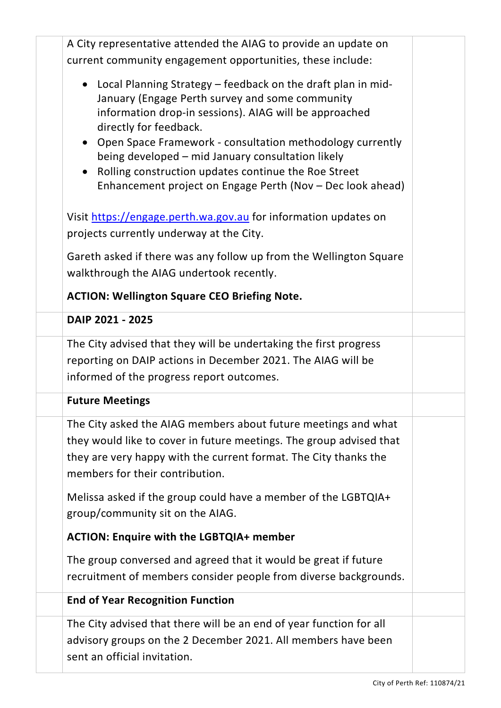| A City representative attended the AIAG to provide an update on                                                                                                                                                                                                                                                                                                                     |  |
|-------------------------------------------------------------------------------------------------------------------------------------------------------------------------------------------------------------------------------------------------------------------------------------------------------------------------------------------------------------------------------------|--|
| current community engagement opportunities, these include:                                                                                                                                                                                                                                                                                                                          |  |
| • Local Planning Strategy – feedback on the draft plan in mid-<br>January (Engage Perth survey and some community<br>information drop-in sessions). AIAG will be approached<br>directly for feedback.<br>• Open Space Framework - consultation methodology currently<br>being developed - mid January consultation likely<br>• Rolling construction updates continue the Roe Street |  |
| Enhancement project on Engage Perth (Nov - Dec look ahead)                                                                                                                                                                                                                                                                                                                          |  |
| Visit https://engage.perth.wa.gov.au for information updates on<br>projects currently underway at the City.                                                                                                                                                                                                                                                                         |  |
| Gareth asked if there was any follow up from the Wellington Square<br>walkthrough the AIAG undertook recently.                                                                                                                                                                                                                                                                      |  |
| <b>ACTION: Wellington Square CEO Briefing Note.</b>                                                                                                                                                                                                                                                                                                                                 |  |
| DAIP 2021 - 2025                                                                                                                                                                                                                                                                                                                                                                    |  |
| The City advised that they will be undertaking the first progress<br>reporting on DAIP actions in December 2021. The AIAG will be<br>informed of the progress report outcomes.                                                                                                                                                                                                      |  |
| <b>Future Meetings</b>                                                                                                                                                                                                                                                                                                                                                              |  |
| The City asked the AIAG members about future meetings and what<br>they would like to cover in future meetings. The group advised that<br>they are very happy with the current format. The City thanks the<br>members for their contribution.                                                                                                                                        |  |
| Melissa asked if the group could have a member of the LGBTQIA+<br>group/community sit on the AIAG.                                                                                                                                                                                                                                                                                  |  |
| <b>ACTION: Enquire with the LGBTQIA+ member</b>                                                                                                                                                                                                                                                                                                                                     |  |
| The group conversed and agreed that it would be great if future<br>recruitment of members consider people from diverse backgrounds.                                                                                                                                                                                                                                                 |  |
| <b>End of Year Recognition Function</b>                                                                                                                                                                                                                                                                                                                                             |  |
| The City advised that there will be an end of year function for all<br>advisory groups on the 2 December 2021. All members have been<br>sent an official invitation.                                                                                                                                                                                                                |  |